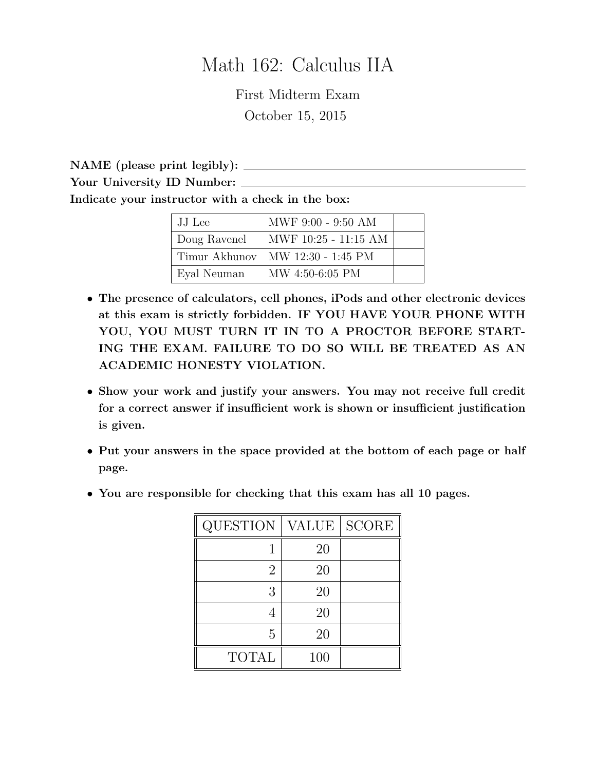# Math 162: Calculus IIA

First Midterm Exam October 15, 2015

NAME (please print legibly):

Your University ID Number:

Indicate your instructor with a check in the box:

| JJ Lee      | MWF 9:00 - 9:50 AM                        |  |
|-------------|-------------------------------------------|--|
|             | $\vert$ Doug Ravenel MWF 10:25 - 11:15 AM |  |
|             | Timur Akhunov MW 12:30 - 1:45 PM          |  |
| Eyal Neuman | MW 4:50-6:05 PM                           |  |

- The presence of calculators, cell phones, iPods and other electronic devices at this exam is strictly forbidden. IF YOU HAVE YOUR PHONE WITH YOU, YOU MUST TURN IT IN TO A PROCTOR BEFORE START-ING THE EXAM. FAILURE TO DO SO WILL BE TREATED AS AN ACADEMIC HONESTY VIOLATION.
- Show your work and justify your answers. You may not receive full credit for a correct answer if insufficient work is shown or insufficient justification is given.
- Put your answers in the space provided at the bottom of each page or half page.
- You are responsible for checking that this exam has all 10 pages.

| <b>QUESTION</b> | VALUE | <b>SCORE</b> |
|-----------------|-------|--------------|
|                 | 20    |              |
| 2               | 20    |              |
| 3               | 20    |              |
|                 | 20    |              |
| 5               | 20    |              |
| <b>TOTAL</b>    | 100   |              |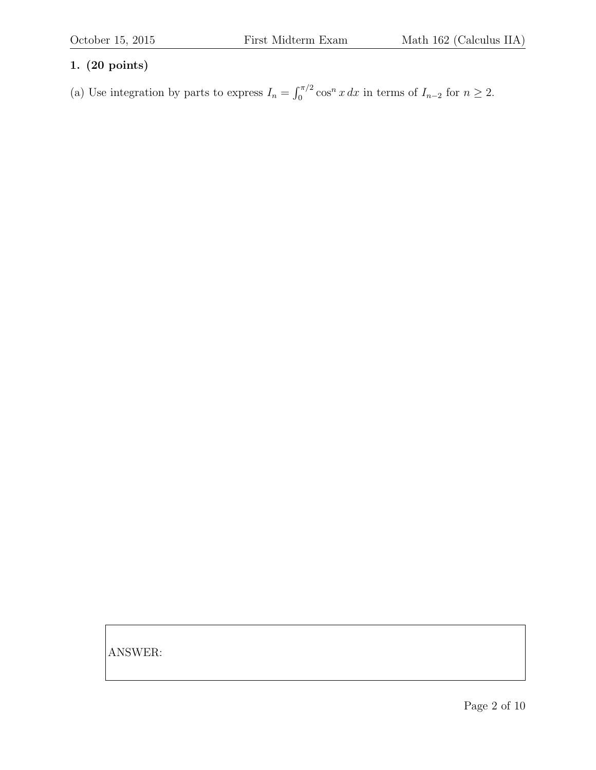(a) Use integration by parts to express  $I_n = \int_0^{\pi/2} \cos^n x \, dx$  in terms of  $I_{n-2}$  for  $n \ge 2$ .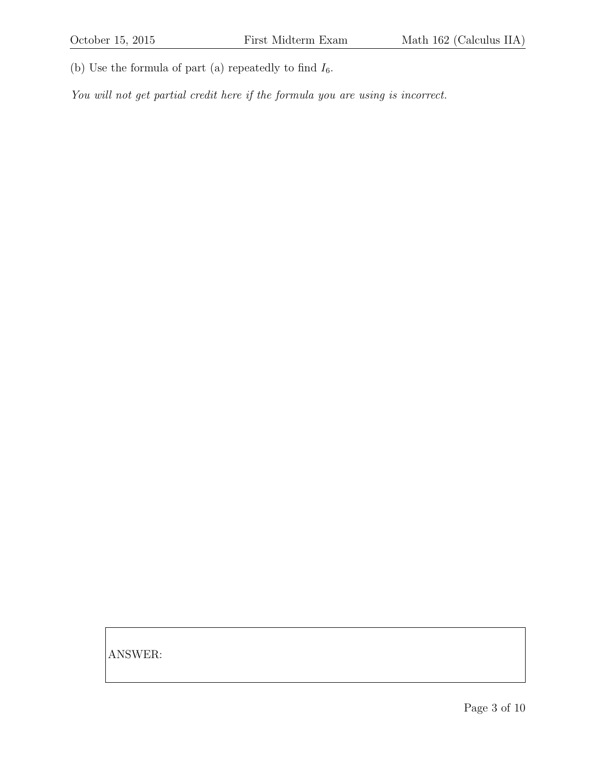(b) Use the formula of part (a) repeatedly to find  $I_6$ .

You will not get partial credit here if the formula you are using is incorrect.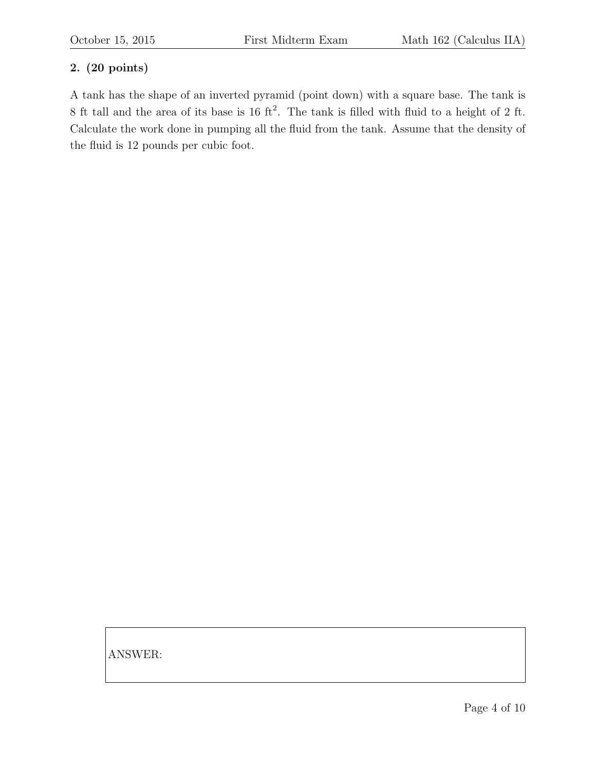A tank has the shape of an inverted pyramid (point down) with a square base. The tank is 8 ft tall and the area of its base is  $16 \text{ ft}^2$ . The tank is filled with fluid to a height of 2 ft. Calculate the work done in pumping all the fluid from the tank. Assume that the density of the fluid is 12 pounds per cubic foot.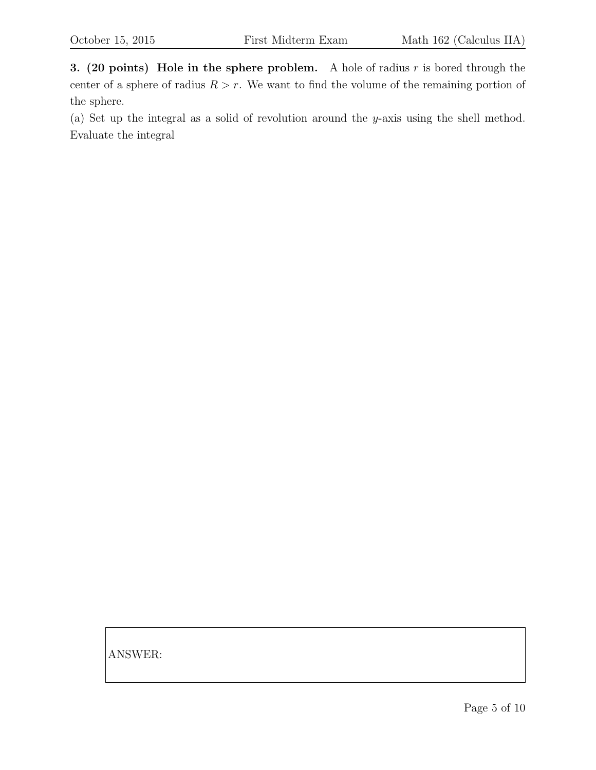3. (20 points) Hole in the sphere problem. A hole of radius  $r$  is bored through the center of a sphere of radius  $R > r$ . We want to find the volume of the remaining portion of the sphere.

(a) Set up the integral as a solid of revolution around the y-axis using the shell method. Evaluate the integral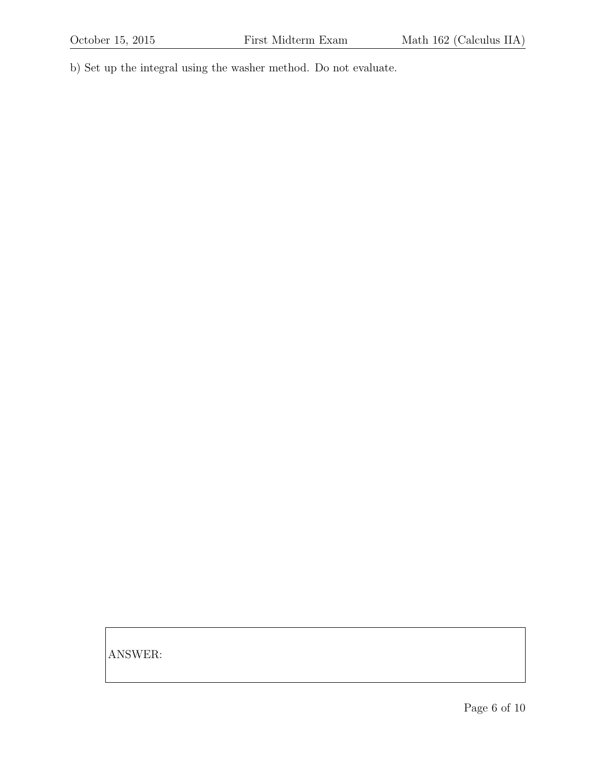b) Set up the integral using the washer method. Do not evaluate.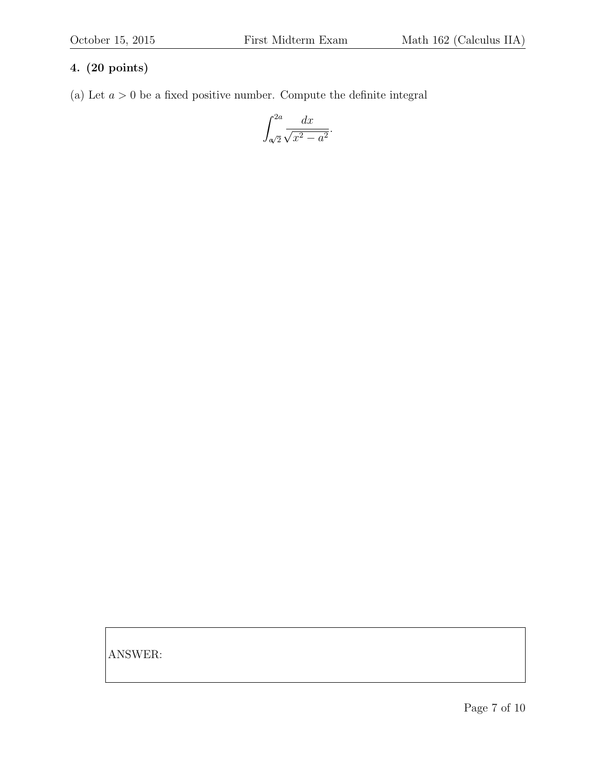(a) Let  $a > 0$  be a fixed positive number. Compute the definite integral

$$
\int_{\alpha/2}^{2a} \frac{dx}{\sqrt{x^2 - a^2}}.
$$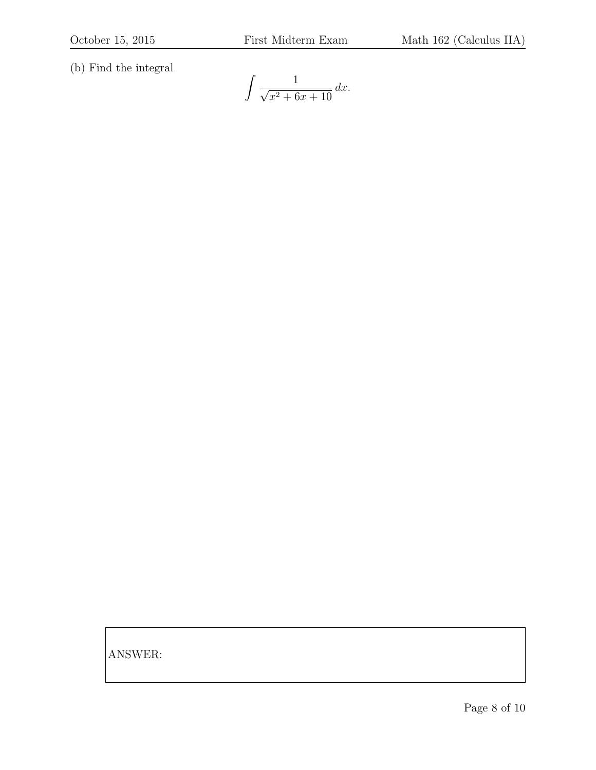(b) Find the integral

$$
\int \frac{1}{\sqrt{x^2 + 6x + 10}} \, dx.
$$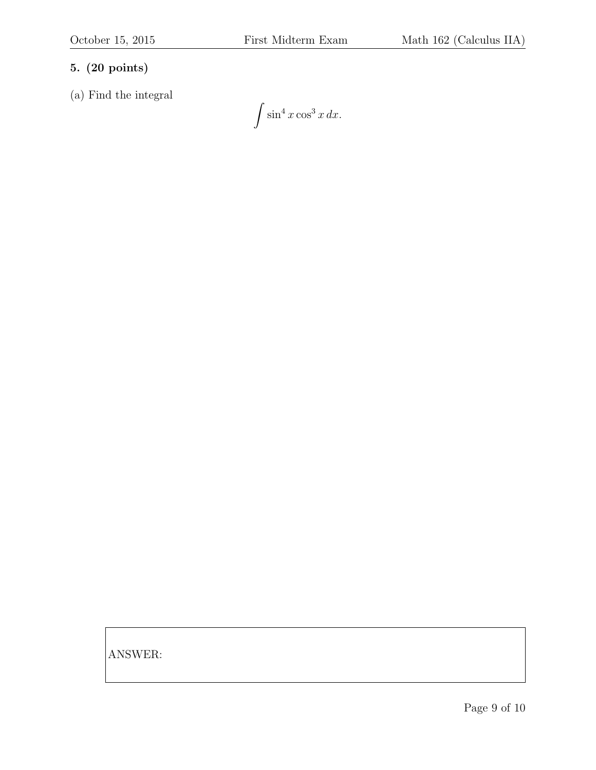(a) Find the integral

 $\int \sin^4 x \cos^3 x \, dx.$